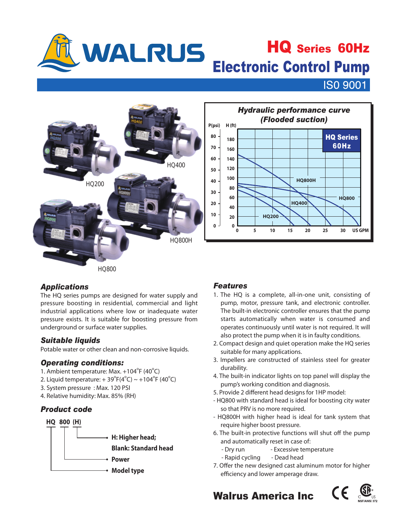

## WALRUS HQ Series 60Hz HQ Series 60Hz

**ISO 9001** 



## *Applications*

The HQ series pumps are designed for water supply and pressure boosting in residential, commercial and light industrial applications where low or inadequate water pressure exists. It is suitable for boosting pressure from underground or surface water supplies.

## *Suitable liquids*

Potable water or other clean and non-corrosive liquids.

#### *Operating conditions:*

- 1. Ambient temperature: Max. +104°F (40°C)
- 2. Liquid temperature:  $+ 39^{\circ}F(4^{\circ}C) \sim +104^{\circ}F(40^{\circ}C)$
- 3. System pressure : Max. 120 PSI
- 4. Relative humidity: Max. 85% (RH)

## *Product code*



## *Features*

- 1. The HQ is a complete, all-in-one unit, consisting of pump, motor, pressure tank, and electronic controller. The built-in electronic controller ensures that the pump starts automatically when water is consumed and operates continuously until water is not required. It will also protect the pump when it is in faulty conditions.
- 2. Compact design and quiet operation make the HQ series suitable for many applications.
- 3. Impellers are constructed of stainless steel for greater durability.
- 4. The built-in indicator lights on top panel will display the pump's working condition and diagnosis.
- 5. Provide 2 different head designs for 1HP model:
- HQ800 with standard head is ideal for boosting city water so that PRV is no more required.
- HQ800H with higher head is ideal for tank system that require higher boost pressure.
- 6. The built-in protective functions will shut off the pump and automatically reset in case of:
	- Dry run Excessive temperature
	- Rapid cycling Dead head
- 7. Offer the new designed cast aluminum motor for higher efficiency and lower amperage draw.